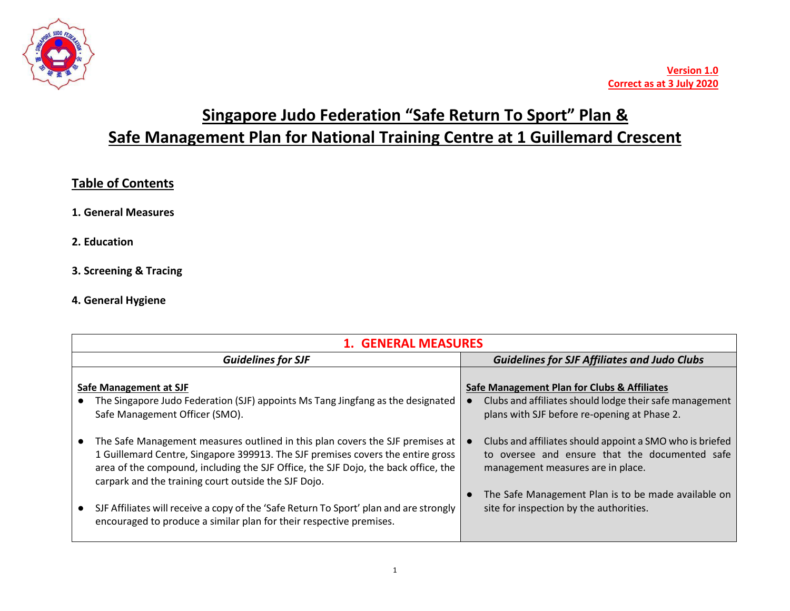

# **Singapore Judo Federation "Safe Return To Sport" Plan & Safe Management Plan for National Training Centre at 1 Guillemard Crescent**

# **Table of Contents**

- **1. General Measures**
- **2. Education**
- **3. Screening & Tracing**
- **4. General Hygiene**

|                           | <b>1. GENERAL MEASURES</b>                                                                                                                                                                                                                                                                                     |  |                                                                                                                                                        |  |
|---------------------------|----------------------------------------------------------------------------------------------------------------------------------------------------------------------------------------------------------------------------------------------------------------------------------------------------------------|--|--------------------------------------------------------------------------------------------------------------------------------------------------------|--|
| <b>Guidelines for SJF</b> |                                                                                                                                                                                                                                                                                                                |  | <b>Guidelines for SJF Affiliates and Judo Clubs</b>                                                                                                    |  |
|                           | Safe Management at SJF<br>The Singapore Judo Federation (SJF) appoints Ms Tang Jingfang as the designated<br>Safe Management Officer (SMO).                                                                                                                                                                    |  | Safe Management Plan for Clubs & Affiliates<br>Clubs and affiliates should lodge their safe management<br>plans with SJF before re-opening at Phase 2. |  |
|                           | The Safe Management measures outlined in this plan covers the SJF premises at<br>1 Guillemard Centre, Singapore 399913. The SJF premises covers the entire gross<br>area of the compound, including the SJF Office, the SJF Dojo, the back office, the<br>carpark and the training court outside the SJF Dojo. |  | Clubs and affiliates should appoint a SMO who is briefed<br>to oversee and ensure that the documented safe<br>management measures are in place.        |  |
|                           | SJF Affiliates will receive a copy of the 'Safe Return To Sport' plan and are strongly<br>encouraged to produce a similar plan for their respective premises.                                                                                                                                                  |  | The Safe Management Plan is to be made available on<br>site for inspection by the authorities.                                                         |  |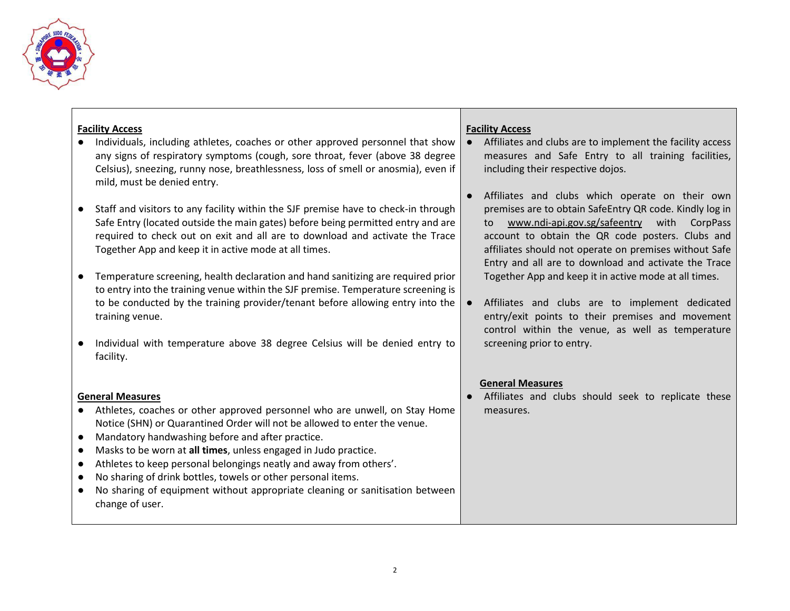

### **Facility Access**

- Individuals, including athletes, coaches or other approved personnel that show any signs of respiratory symptoms (cough, sore throat, fever (above 38 degree Celsius), sneezing, runny nose, breathlessness, loss of smell or anosmia), even if mild, must be denied entry.
- Staff and visitors to any facility within the SJF premise have to check-in through Safe Entry (located outside the main gates) before being permitted entry and are required to check out on exit and all are to download and activate the Trace Together App and keep it in active mode at all times.
- Temperature screening, health declaration and hand sanitizing are required prior to entry into the training venue within the SJF premise. Temperature screening is to be conducted by the training provider/tenant before allowing entry into the training venue.
- Individual with temperature above 38 degree Celsius will be denied entry to facility.

#### **General Measures**

- Athletes, coaches or other approved personnel who are unwell, on Stay Home Notice (SHN) or Quarantined Order will not be allowed to enter the venue.
- Mandatory handwashing before and after practice.
- Masks to be worn at **all times**, unless engaged in Judo practice.
- Athletes to keep personal belongings neatly and away from others'.
- No sharing of drink bottles, towels or other personal items.
- No sharing of equipment without appropriate cleaning or sanitisation between change of user.

#### **Facility Access**

- Affiliates and clubs are to implement the facility access measures and Safe Entry to all training facilities, including their respective dojos.
- Affiliates and clubs which operate on their own premises are to obtain SafeEntry QR code. Kindly log in to [www.ndi-api.gov.sg/safeentry](http://www.ndi-api.gov.sg/safeentry) with CorpPass account to obtain the QR code posters. Clubs and affiliates should not operate on premises without Safe Entry and all are to download and activate the Trace Together App and keep it in active mode at all times.
- Affiliates and clubs are to implement dedicated entry/exit points to their premises and movement control within the venue, as well as temperature screening prior to entry.

#### **General Measures**

● Affiliates and clubs should seek to replicate these measures.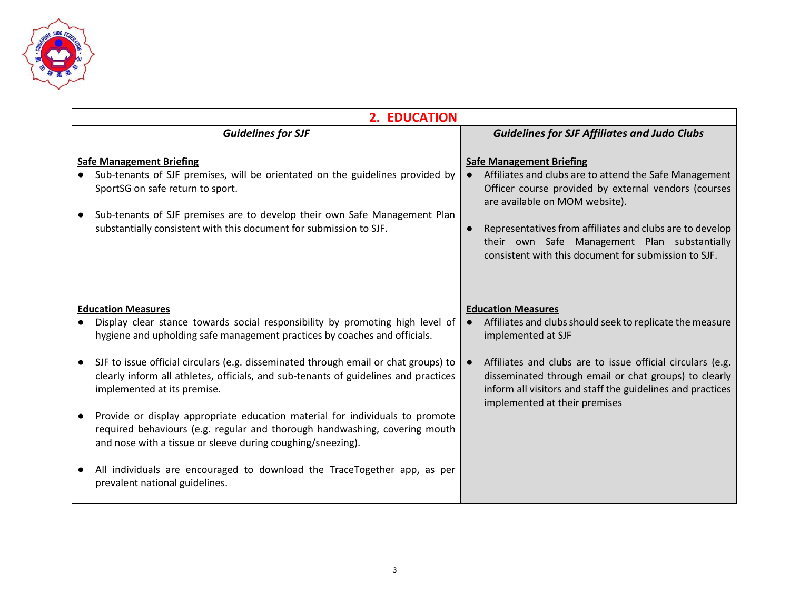

| 2. EDUCATION                                                                                                                                                                                                                                                                                                         |                                                                                                                                                                                                                                                                                                                                                                      |  |
|----------------------------------------------------------------------------------------------------------------------------------------------------------------------------------------------------------------------------------------------------------------------------------------------------------------------|----------------------------------------------------------------------------------------------------------------------------------------------------------------------------------------------------------------------------------------------------------------------------------------------------------------------------------------------------------------------|--|
| <b>Guidelines for SJF</b>                                                                                                                                                                                                                                                                                            | <b>Guidelines for SJF Affiliates and Judo Clubs</b>                                                                                                                                                                                                                                                                                                                  |  |
| <b>Safe Management Briefing</b><br>Sub-tenants of SJF premises, will be orientated on the guidelines provided by<br>SportSG on safe return to sport.<br>Sub-tenants of SJF premises are to develop their own Safe Management Plan<br>$\bullet$<br>substantially consistent with this document for submission to SJF. | <b>Safe Management Briefing</b><br>Affiliates and clubs are to attend the Safe Management<br>Officer course provided by external vendors (courses<br>are available on MOM website).<br>Representatives from affiliates and clubs are to develop<br>$\bullet$<br>their own Safe Management Plan substantially<br>consistent with this document for submission to SJF. |  |
| <b>Education Measures</b><br>Display clear stance towards social responsibility by promoting high level of<br>hygiene and upholding safe management practices by coaches and officials.                                                                                                                              | <b>Education Measures</b><br>Affiliates and clubs should seek to replicate the measure<br>implemented at SJF                                                                                                                                                                                                                                                         |  |
| SJF to issue official circulars (e.g. disseminated through email or chat groups) to<br>$\bullet$<br>clearly inform all athletes, officials, and sub-tenants of guidelines and practices<br>implemented at its premise.                                                                                               | Affiliates and clubs are to issue official circulars (e.g.<br>disseminated through email or chat groups) to clearly<br>inform all visitors and staff the guidelines and practices<br>implemented at their premises                                                                                                                                                   |  |
| Provide or display appropriate education material for individuals to promote<br>required behaviours (e.g. regular and thorough handwashing, covering mouth<br>and nose with a tissue or sleeve during coughing/sneezing).                                                                                            |                                                                                                                                                                                                                                                                                                                                                                      |  |
| All individuals are encouraged to download the TraceTogether app, as per<br>prevalent national guidelines.                                                                                                                                                                                                           |                                                                                                                                                                                                                                                                                                                                                                      |  |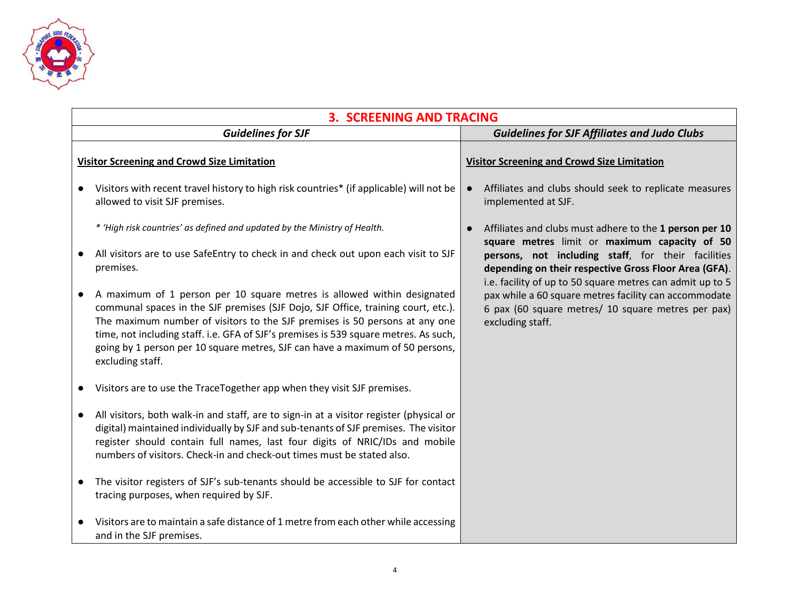

|                                                    | <b>3. SCREENING AND TRACING</b>                                                                                                                                                                                                                                                                                                                                                                                                          |           |                                                                                                                                                                          |  |
|----------------------------------------------------|------------------------------------------------------------------------------------------------------------------------------------------------------------------------------------------------------------------------------------------------------------------------------------------------------------------------------------------------------------------------------------------------------------------------------------------|-----------|--------------------------------------------------------------------------------------------------------------------------------------------------------------------------|--|
| <b>Guidelines for SJF</b>                          |                                                                                                                                                                                                                                                                                                                                                                                                                                          |           | <b>Guidelines for SJF Affiliates and Judo Clubs</b>                                                                                                                      |  |
| <b>Visitor Screening and Crowd Size Limitation</b> |                                                                                                                                                                                                                                                                                                                                                                                                                                          |           | <b>Visitor Screening and Crowd Size Limitation</b>                                                                                                                       |  |
|                                                    | Visitors with recent travel history to high risk countries* (if applicable) will not be<br>allowed to visit SJF premises.                                                                                                                                                                                                                                                                                                                | $\bullet$ | Affiliates and clubs should seek to replicate measures<br>implemented at SJF.                                                                                            |  |
|                                                    | * 'High risk countries' as defined and updated by the Ministry of Health.                                                                                                                                                                                                                                                                                                                                                                | $\bullet$ | Affiliates and clubs must adhere to the 1 person per 10<br>square metres limit or maximum capacity of 50                                                                 |  |
|                                                    | All visitors are to use SafeEntry to check in and check out upon each visit to SJF<br>premises.                                                                                                                                                                                                                                                                                                                                          |           | persons, not including staff, for their facilities<br>depending on their respective Gross Floor Area (GFA).<br>i.e. facility of up to 50 square metres can admit up to 5 |  |
|                                                    | A maximum of 1 person per 10 square metres is allowed within designated<br>communal spaces in the SJF premises (SJF Dojo, SJF Office, training court, etc.).<br>The maximum number of visitors to the SJF premises is 50 persons at any one<br>time, not including staff. i.e. GFA of SJF's premises is 539 square metres. As such,<br>going by 1 person per 10 square metres, SJF can have a maximum of 50 persons,<br>excluding staff. |           | pax while a 60 square metres facility can accommodate<br>6 pax (60 square metres/ 10 square metres per pax)<br>excluding staff.                                          |  |
|                                                    | Visitors are to use the TraceTogether app when they visit SJF premises.                                                                                                                                                                                                                                                                                                                                                                  |           |                                                                                                                                                                          |  |
|                                                    | All visitors, both walk-in and staff, are to sign-in at a visitor register (physical or<br>digital) maintained individually by SJF and sub-tenants of SJF premises. The visitor<br>register should contain full names, last four digits of NRIC/IDs and mobile<br>numbers of visitors. Check-in and check-out times must be stated also.                                                                                                 |           |                                                                                                                                                                          |  |
|                                                    | The visitor registers of SJF's sub-tenants should be accessible to SJF for contact<br>tracing purposes, when required by SJF.                                                                                                                                                                                                                                                                                                            |           |                                                                                                                                                                          |  |
|                                                    | Visitors are to maintain a safe distance of 1 metre from each other while accessing<br>and in the SJF premises.                                                                                                                                                                                                                                                                                                                          |           |                                                                                                                                                                          |  |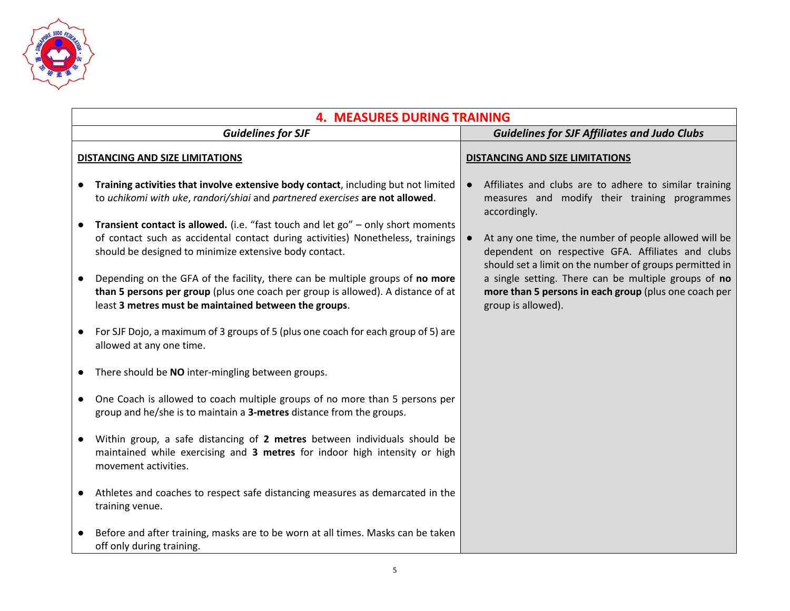

|                           | <b>4. MEASURES DURING TRAINING</b>                                                                                                                                                                                            |  |                                                                                                                                                                       |  |  |
|---------------------------|-------------------------------------------------------------------------------------------------------------------------------------------------------------------------------------------------------------------------------|--|-----------------------------------------------------------------------------------------------------------------------------------------------------------------------|--|--|
| <b>Guidelines for SJF</b> |                                                                                                                                                                                                                               |  | <b>Guidelines for SJF Affiliates and Judo Clubs</b>                                                                                                                   |  |  |
|                           | <b>DISTANCING AND SIZE LIMITATIONS</b>                                                                                                                                                                                        |  | <b>DISTANCING AND SIZE LIMITATIONS</b>                                                                                                                                |  |  |
|                           | Training activities that involve extensive body contact, including but not limited<br>to uchikomi with uke, randori/shiai and partnered exercises are not allowed.                                                            |  | Affiliates and clubs are to adhere to similar training<br>measures and modify their training programmes<br>accordingly.                                               |  |  |
|                           | Transient contact is allowed. (i.e. "fast touch and let go" - only short moments<br>of contact such as accidental contact during activities) Nonetheless, trainings<br>should be designed to minimize extensive body contact. |  | At any one time, the number of people allowed will be<br>dependent on respective GFA. Affiliates and clubs<br>should set a limit on the number of groups permitted in |  |  |
|                           | Depending on the GFA of the facility, there can be multiple groups of no more<br>than 5 persons per group (plus one coach per group is allowed). A distance of at<br>least 3 metres must be maintained between the groups.    |  | a single setting. There can be multiple groups of no<br>more than 5 persons in each group (plus one coach per<br>group is allowed).                                   |  |  |
|                           | For SJF Dojo, a maximum of 3 groups of 5 (plus one coach for each group of 5) are<br>allowed at any one time.                                                                                                                 |  |                                                                                                                                                                       |  |  |
|                           | There should be NO inter-mingling between groups.                                                                                                                                                                             |  |                                                                                                                                                                       |  |  |
|                           | One Coach is allowed to coach multiple groups of no more than 5 persons per<br>group and he/she is to maintain a 3-metres distance from the groups.                                                                           |  |                                                                                                                                                                       |  |  |
|                           | Within group, a safe distancing of 2 metres between individuals should be<br>maintained while exercising and 3 metres for indoor high intensity or high<br>movement activities.                                               |  |                                                                                                                                                                       |  |  |
|                           | Athletes and coaches to respect safe distancing measures as demarcated in the<br>training venue.                                                                                                                              |  |                                                                                                                                                                       |  |  |
|                           | Before and after training, masks are to be worn at all times. Masks can be taken<br>off only during training.                                                                                                                 |  |                                                                                                                                                                       |  |  |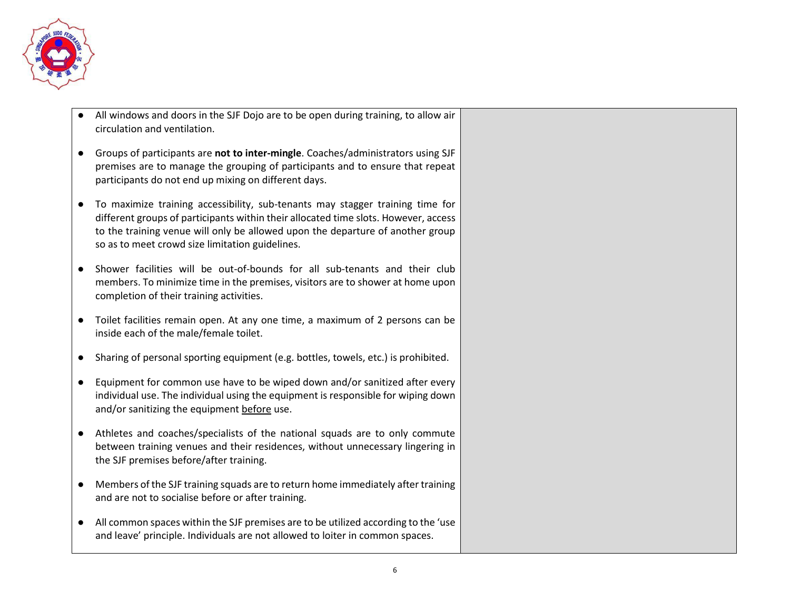

- All windows and doors in the SJF Dojo are to be open during training, to allow air circulation and ventilation.
- Groups of participants are **not to inter-mingle**. Coaches/administrators using SJF premises are to manage the grouping of participants and to ensure that repeat participants do not end up mixing on different days.
- To maximize training accessibility, sub-tenants may stagger training time for different groups of participants within their allocated time slots. However, access to the training venue will only be allowed upon the departure of another group so as to meet crowd size limitation guidelines.
- Shower facilities will be out-of-bounds for all sub-tenants and their club members. To minimize time in the premises, visitors are to shower at home upon completion of their training activities.
- Toilet facilities remain open. At any one time, a maximum of 2 persons can be inside each of the male/female toilet.
- Sharing of personal sporting equipment (e.g. bottles, towels, etc.) is prohibited.
- Equipment for common use have to be wiped down and/or sanitized after every individual use. The individual using the equipment is responsible for wiping down and/or sanitizing the equipment before use.
- Athletes and coaches/specialists of the national squads are to only commute between training venues and their residences, without unnecessary lingering in the SJF premises before/after training.
- Members of the SJF training squads are to return home immediately after training and are not to socialise before or after training.
- All common spaces within the SJF premises are to be utilized according to the 'use and leave' principle. Individuals are not allowed to loiter in common spaces.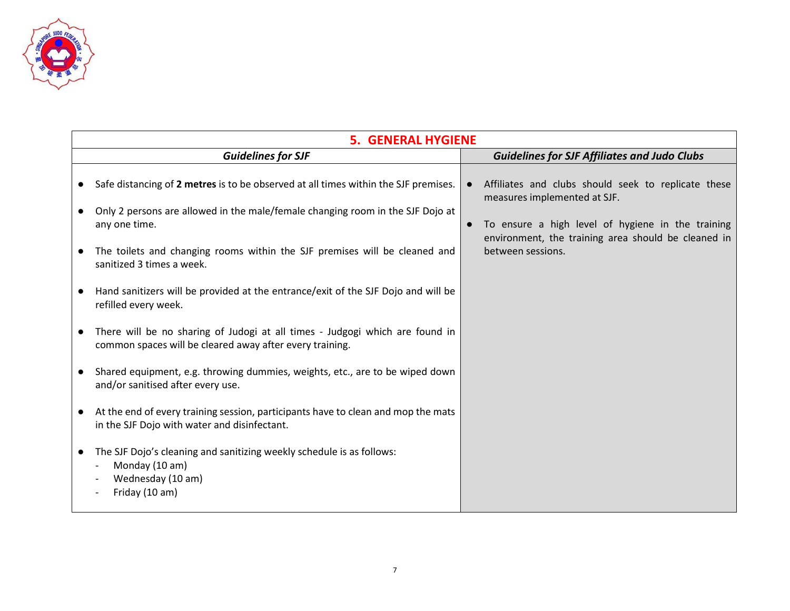

|           | <b>5. GENERAL HYGIENE</b>                                                                                                                |           |                                                                                                          |  |  |
|-----------|------------------------------------------------------------------------------------------------------------------------------------------|-----------|----------------------------------------------------------------------------------------------------------|--|--|
|           | <b>Guidelines for SJF</b>                                                                                                                |           | <b>Guidelines for SJF Affiliates and Judo Clubs</b>                                                      |  |  |
| $\bullet$ | Safe distancing of 2 metres is to be observed at all times within the SJF premises.                                                      | $\bullet$ | Affiliates and clubs should seek to replicate these<br>measures implemented at SJF.                      |  |  |
|           | Only 2 persons are allowed in the male/female changing room in the SJF Dojo at<br>any one time.                                          | $\bullet$ | To ensure a high level of hygiene in the training<br>environment, the training area should be cleaned in |  |  |
|           | The toilets and changing rooms within the SJF premises will be cleaned and<br>sanitized 3 times a week.                                  |           | between sessions.                                                                                        |  |  |
| $\bullet$ | Hand sanitizers will be provided at the entrance/exit of the SJF Dojo and will be<br>refilled every week.                                |           |                                                                                                          |  |  |
|           | There will be no sharing of Judogi at all times - Judgogi which are found in<br>common spaces will be cleared away after every training. |           |                                                                                                          |  |  |
| $\bullet$ | Shared equipment, e.g. throwing dummies, weights, etc., are to be wiped down<br>and/or sanitised after every use.                        |           |                                                                                                          |  |  |
|           | At the end of every training session, participants have to clean and mop the mats<br>in the SJF Dojo with water and disinfectant.        |           |                                                                                                          |  |  |
| $\bullet$ | The SJF Dojo's cleaning and sanitizing weekly schedule is as follows:<br>Monday (10 am)<br>Wednesday (10 am)<br>Friday (10 am)           |           |                                                                                                          |  |  |